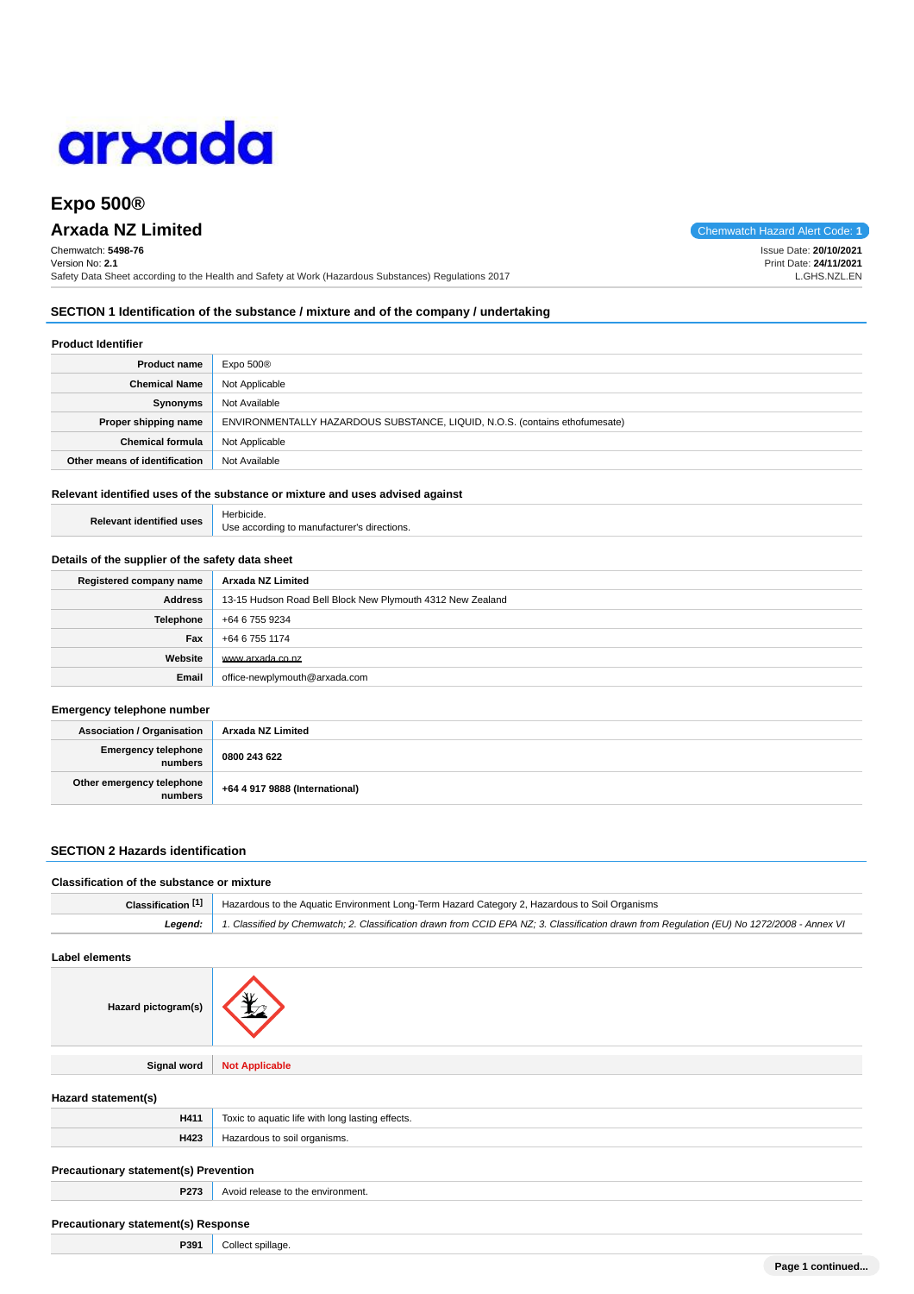

# **Expo 500®**

# **Arxada NZ Limited** Chemwatch Hazard Alert Code: **1**

Chemwatch: **5498-76** Version No: **2.1** Safety Data Sheet according to the Health and Safety at Work (Hazardous Substances) Regulations 2017

**SECTION 1 Identification of the substance / mixture and of the company / undertaking**

### **Product Identifier**

| <b>Product name</b>           | Expo 500 <sup>®</sup>                                                       |
|-------------------------------|-----------------------------------------------------------------------------|
| <b>Chemical Name</b>          | Not Applicable                                                              |
| Synonyms                      | Not Available                                                               |
| Proper shipping name          | ENVIRONMENTALLY HAZARDOUS SUBSTANCE, LIQUID, N.O.S. (contains ethofumesate) |
| <b>Chemical formula</b>       | Not Applicable                                                              |
| Other means of identification | Not Available                                                               |

## **Relevant identified uses of the substance or mixture and uses advised against**

| <b>Relevant identified uses</b> | Herbicide.                                  |
|---------------------------------|---------------------------------------------|
|                                 | Use according to manufacturer's directions. |

#### **Details of the supplier of the safety data sheet**

| Registered company name | Arxada NZ Limited                                          |
|-------------------------|------------------------------------------------------------|
| Address                 | 13-15 Hudson Road Bell Block New Plymouth 4312 New Zealand |
| <b>Telephone</b>        | +64 6 755 9234                                             |
| Fax                     | +64 6 755 1174                                             |
| Website                 | www.arxada.co.nz                                           |
| Email                   | office-newplymouth@arxada.com                              |

### **Emergency telephone number**

| <b>Association / Organisation</b>    | Arxada NZ Limited              |
|--------------------------------------|--------------------------------|
| Emergency telephone<br>numbers       | 0800 243 622                   |
| Other emergency telephone<br>numbers | +64 4 917 9888 (International) |

### **SECTION 2 Hazards identification**

**P391** Collect spillage.

| Classification of the substance or mixture |                                                                                                                                            |
|--------------------------------------------|--------------------------------------------------------------------------------------------------------------------------------------------|
| Classification <sup>[1]</sup>              | Hazardous to the Aquatic Environment Long-Term Hazard Category 2, Hazardous to Soil Organisms                                              |
| Leaend:                                    | 1. Classified by Chemwatch; 2. Classification drawn from CCID EPA NZ; 3. Classification drawn from Requlation (EU) No 1272/2008 - Annex VI |
|                                            |                                                                                                                                            |

## **Label elements**

| Hazard pictogram(s)                        |                                                  |
|--------------------------------------------|--------------------------------------------------|
| <b>Signal word</b>                         | <b>Not Applicable</b>                            |
| Hazard statement(s)                        |                                                  |
| H411                                       | Toxic to aquatic life with long lasting effects. |
| H423                                       | Hazardous to soil organisms.                     |
| Precautionary statement(s) Prevention      |                                                  |
| P273                                       | Avoid release to the environment.                |
| <b>Precautionary statement(s) Response</b> |                                                  |

Issue Date: **20/10/2021** Print Date: **24/11/2021** L.GHS.NZL.EN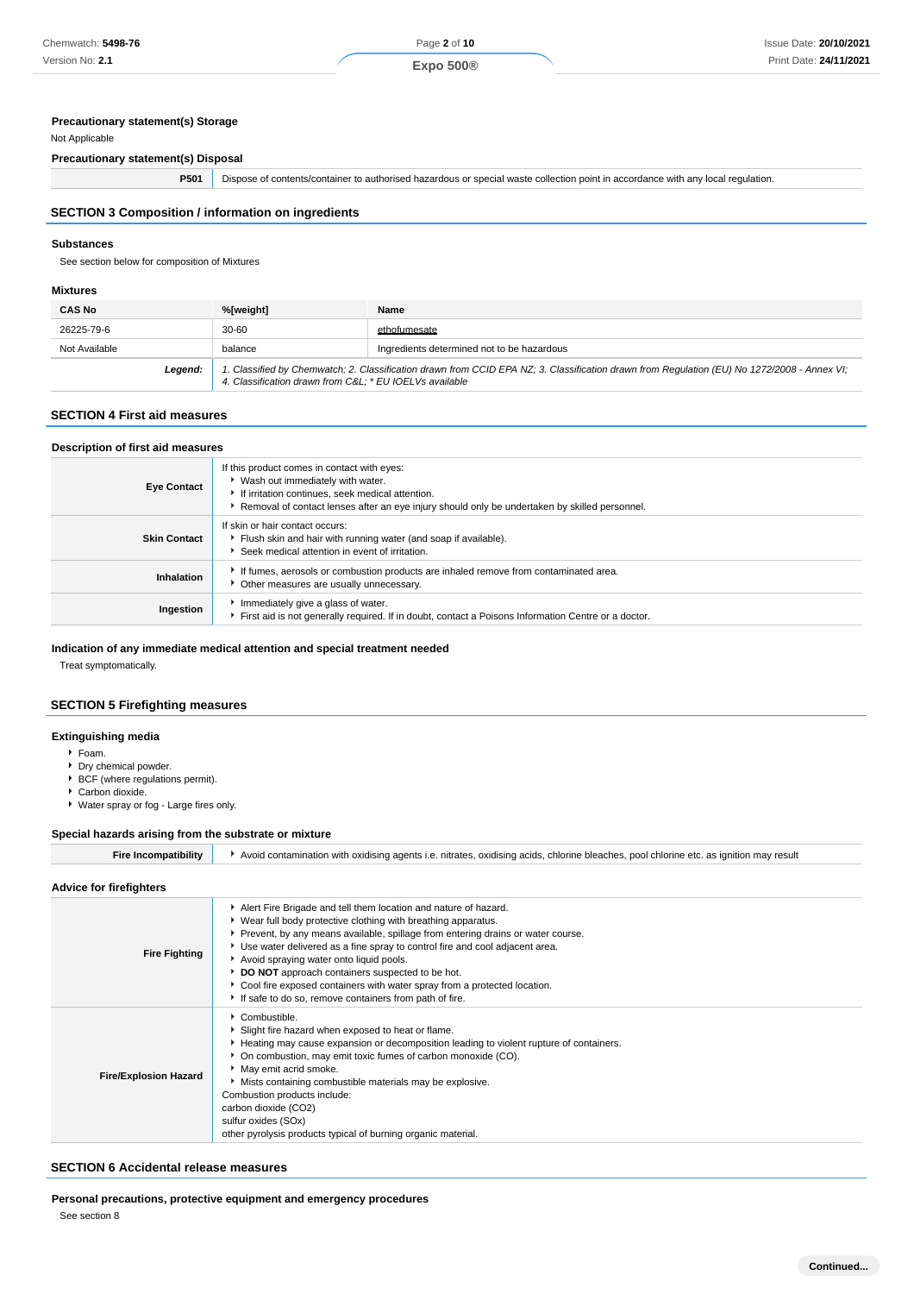## **Precautionary statement(s) Storage**

# Not Applicable

**Precautionary statement(s) Disposal**

**P501** Dispose of contents/container to authorised hazardous or special waste collection point in accordance with any local regulation.

# **SECTION 3 Composition / information on ingredients**

### **Substances**

See section below for composition of Mixtures

### **Mixtures**

| <b>CAS No</b> | %[weight]                                              | Name                                                                                                                                        |
|---------------|--------------------------------------------------------|---------------------------------------------------------------------------------------------------------------------------------------------|
| 26225-79-6    | $30 - 60$                                              | ethofumesate                                                                                                                                |
| Not Available | balance                                                | Ingredients determined not to be hazardous                                                                                                  |
| Legend:       | 4. Classification drawn from C&L * EU IOELVs available | 1. Classified by Chemwatch; 2. Classification drawn from CCID EPA NZ; 3. Classification drawn from Regulation (EU) No 1272/2008 - Annex VI; |

# **SECTION 4 First aid measures**

| Description of first aid measures |                                                                                                                                                                                                                                        |  |
|-----------------------------------|----------------------------------------------------------------------------------------------------------------------------------------------------------------------------------------------------------------------------------------|--|
| <b>Eye Contact</b>                | If this product comes in contact with eyes:<br>▶ Wash out immediately with water.<br>If irritation continues, seek medical attention.<br>Removal of contact lenses after an eye injury should only be undertaken by skilled personnel. |  |
| <b>Skin Contact</b>               | If skin or hair contact occurs:<br>Flush skin and hair with running water (and soap if available).<br>Seek medical attention in event of irritation.                                                                                   |  |
| Inhalation                        | If fumes, aerosols or combustion products are inhaled remove from contaminated area.<br>• Other measures are usually unnecessary.                                                                                                      |  |
| Ingestion                         | Immediately give a glass of water.<br>First aid is not generally required. If in doubt, contact a Poisons Information Centre or a doctor.                                                                                              |  |

### **Indication of any immediate medical attention and special treatment needed**

Treat symptomatically.

# **SECTION 5 Firefighting measures**

### **Extinguishing media**

- Foam.
- Dry chemical powder.
- BCF (where regulations permit). Carbon dioxide.
- Water spray or fog Large fires only.

### **Special hazards arising from the substrate or mixture**

| Fire Incompatibility | ▶ Avoid contamination with oxidising agents i.e. nitrates, oxidising acids, chlorine bleaches, pool chlorine etc. as ignition may result |
|----------------------|------------------------------------------------------------------------------------------------------------------------------------------|
|                      |                                                                                                                                          |

#### **Advice for firefighters**

| <b>Fire Fighting</b>         | Alert Fire Brigade and tell them location and nature of hazard.<br>▶ Wear full body protective clothing with breathing apparatus.<br>▶ Prevent, by any means available, spillage from entering drains or water course.<br>▶ Use water delivered as a fine spray to control fire and cool adjacent area.<br>Avoid spraying water onto liquid pools.<br>DO NOT approach containers suspected to be hot.<br>Cool fire exposed containers with water spray from a protected location.<br>If safe to do so, remove containers from path of fire. |
|------------------------------|---------------------------------------------------------------------------------------------------------------------------------------------------------------------------------------------------------------------------------------------------------------------------------------------------------------------------------------------------------------------------------------------------------------------------------------------------------------------------------------------------------------------------------------------|
| <b>Fire/Explosion Hazard</b> | Combustible.<br>Slight fire hazard when exposed to heat or flame.<br>Heating may cause expansion or decomposition leading to violent rupture of containers.<br>• On combustion, may emit toxic fumes of carbon monoxide (CO).<br>• May emit acrid smoke.<br>Mists containing combustible materials may be explosive.<br>Combustion products include:<br>carbon dioxide (CO2)<br>sulfur oxides (SOx)<br>other pyrolysis products typical of burning organic material.                                                                        |

### **SECTION 6 Accidental release measures**

**Personal precautions, protective equipment and emergency procedures**

See section 8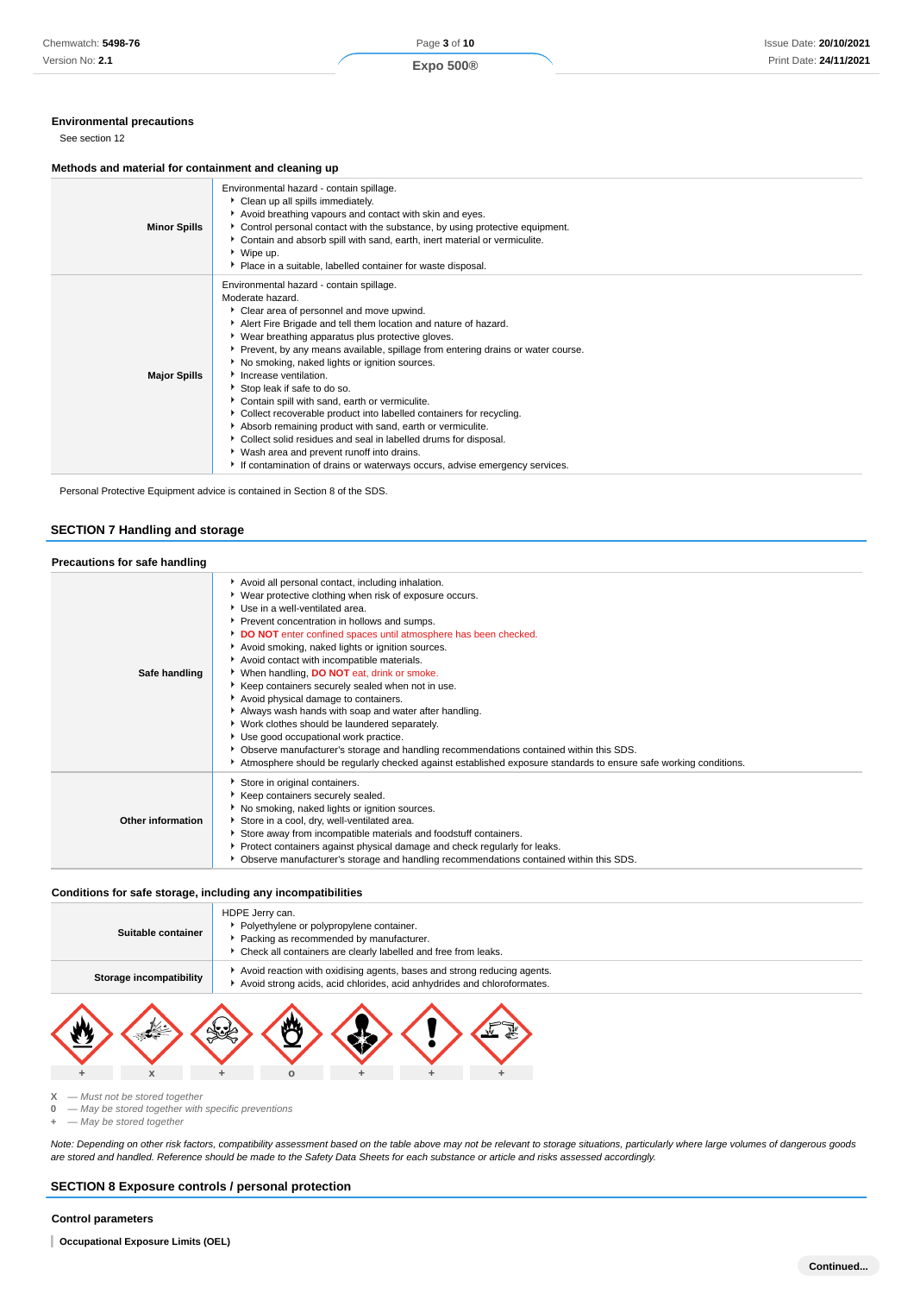#### **Environmental precautions**

See section 12

#### **Methods and material for containment and cleaning up**

| <b>Minor Spills</b> | Environmental hazard - contain spillage.<br>Clean up all spills immediately.<br>Avoid breathing vapours and contact with skin and eyes.<br>▶ Control personal contact with the substance, by using protective equipment.<br>Contain and absorb spill with sand, earth, inert material or vermiculite.<br>▶ Wipe up.<br>Place in a suitable, labelled container for waste disposal.                                                                                                                                                                                                                                                                                                                                                                                                                                        |
|---------------------|---------------------------------------------------------------------------------------------------------------------------------------------------------------------------------------------------------------------------------------------------------------------------------------------------------------------------------------------------------------------------------------------------------------------------------------------------------------------------------------------------------------------------------------------------------------------------------------------------------------------------------------------------------------------------------------------------------------------------------------------------------------------------------------------------------------------------|
| <b>Major Spills</b> | Environmental hazard - contain spillage.<br>Moderate hazard.<br>Clear area of personnel and move upwind.<br>Alert Fire Brigade and tell them location and nature of hazard.<br>• Wear breathing apparatus plus protective gloves.<br>▶ Prevent, by any means available, spillage from entering drains or water course.<br>No smoking, naked lights or ignition sources.<br>Increase ventilation.<br>Stop leak if safe to do so.<br>Contain spill with sand, earth or vermiculite.<br>• Collect recoverable product into labelled containers for recycling.<br>Absorb remaining product with sand, earth or vermiculite.<br>• Collect solid residues and seal in labelled drums for disposal.<br>▶ Wash area and prevent runoff into drains.<br>If contamination of drains or waterways occurs, advise emergency services. |

Personal Protective Equipment advice is contained in Section 8 of the SDS.

### **SECTION 7 Handling and storage**

| Precautions for safe handling |                                                                                                                                                                                                                                                                                                                                                                                                                                                                                                                                                                                                                                                                                                                                                                                                                                                                                       |
|-------------------------------|---------------------------------------------------------------------------------------------------------------------------------------------------------------------------------------------------------------------------------------------------------------------------------------------------------------------------------------------------------------------------------------------------------------------------------------------------------------------------------------------------------------------------------------------------------------------------------------------------------------------------------------------------------------------------------------------------------------------------------------------------------------------------------------------------------------------------------------------------------------------------------------|
| Safe handling                 | Avoid all personal contact, including inhalation.<br>▶ Wear protective clothing when risk of exposure occurs.<br>Use in a well-ventilated area.<br>Prevent concentration in hollows and sumps.<br>DO NOT enter confined spaces until atmosphere has been checked.<br>Avoid smoking, naked lights or ignition sources.<br>Avoid contact with incompatible materials.<br>When handling, <b>DO NOT</b> eat, drink or smoke.<br>Keep containers securely sealed when not in use.<br>Avoid physical damage to containers.<br>Always wash hands with soap and water after handling.<br>Vork clothes should be laundered separately.<br>Use good occupational work practice.<br>▶ Observe manufacturer's storage and handling recommendations contained within this SDS.<br>Atmosphere should be regularly checked against established exposure standards to ensure safe working conditions. |
| Other information             | Store in original containers.<br>Keep containers securely sealed.<br>No smoking, naked lights or ignition sources.<br>Store in a cool, dry, well-ventilated area.<br>Store away from incompatible materials and foodstuff containers.<br>▶ Protect containers against physical damage and check regularly for leaks.<br>▶ Observe manufacturer's storage and handling recommendations contained within this SDS.                                                                                                                                                                                                                                                                                                                                                                                                                                                                      |

#### **Conditions for safe storage, including any incompatibilities**

| Suitable container      | HDPE Jerry can.<br>Polyethylene or polypropylene container.<br>Packing as recommended by manufacturer.<br>• Check all containers are clearly labelled and free from leaks. |  |
|-------------------------|----------------------------------------------------------------------------------------------------------------------------------------------------------------------------|--|
| Storage incompatibility | Avoid reaction with oxidising agents, bases and strong reducing agents.<br>Avoid strong acids, acid chlorides, acid anhydrides and chloroformates.                         |  |
|                         |                                                                                                                                                                            |  |



**X** — Must not be stored together

**0** — May be stored together with specific preventions

**+** — May be stored together

Note: Depending on other risk factors, compatibility assessment based on the table above may not be relevant to storage situations, particularly where large volumes of dangerous goods are stored and handled. Reference should be made to the Safety Data Sheets for each substance or article and risks assessed accordingly.

## **SECTION 8 Exposure controls / personal protection**

### **Control parameters**

**Occupational Exposure Limits (OEL)**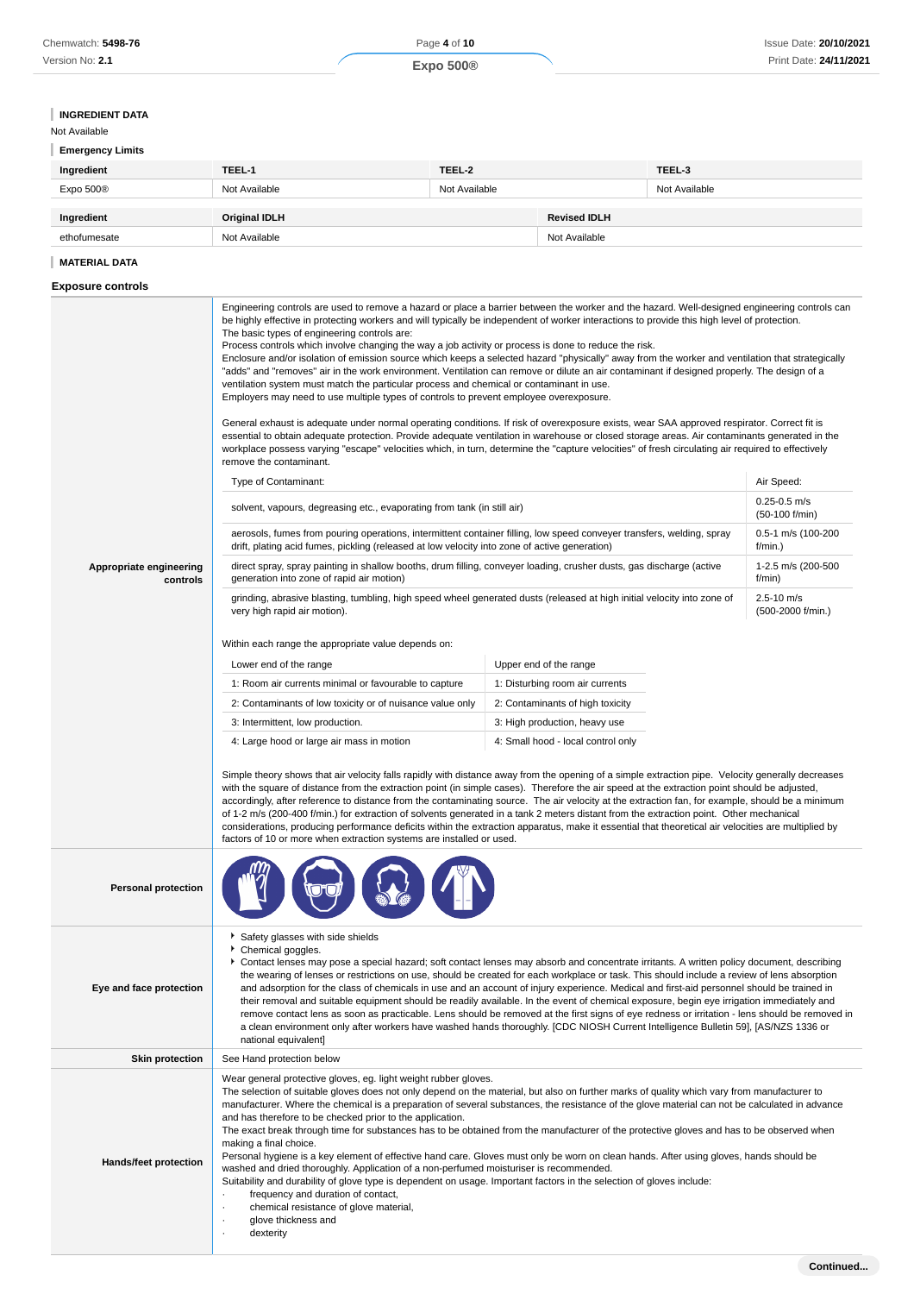# **INGREDIENT DATA**

# Not Available

| <b>Emergency Limits</b> |               |               |         |
|-------------------------|---------------|---------------|---------|
| Ingredient              | TEEL-1        | TEEL-2        | TEEL-3  |
| $E_{YDA}E000$           | Not Avoilable | Not Avoilable | $N - 1$ |

| Expo 500®    | Not Available        | Not Available |                     | Not Available |
|--------------|----------------------|---------------|---------------------|---------------|
| Ingredient   | <b>Original IDLH</b> |               | <b>Revised IDLH</b> |               |
| ethofumesate | Not Available        |               | Not Available       |               |

### **MATERIAL DATA**

# **Exposure controls**

|                                     | Engineering controls are used to remove a hazard or place a barrier between the worker and the hazard. Well-designed engineering controls can<br>be highly effective in protecting workers and will typically be independent of worker interactions to provide this high level of protection.<br>The basic types of engineering controls are:<br>Process controls which involve changing the way a job activity or process is done to reduce the risk.<br>Enclosure and/or isolation of emission source which keeps a selected hazard "physically" away from the worker and ventilation that strategically<br>"adds" and "removes" air in the work environment. Ventilation can remove or dilute an air contaminant if designed properly. The design of a<br>ventilation system must match the particular process and chemical or contaminant in use.<br>Employers may need to use multiple types of controls to prevent employee overexposure.<br>General exhaust is adequate under normal operating conditions. If risk of overexposure exists, wear SAA approved respirator. Correct fit is<br>essential to obtain adequate protection. Provide adequate ventilation in warehouse or closed storage areas. Air contaminants generated in the<br>workplace possess varying "escape" velocities which, in turn, determine the "capture velocities" of fresh circulating air required to effectively |                                  |                                     |  |
|-------------------------------------|------------------------------------------------------------------------------------------------------------------------------------------------------------------------------------------------------------------------------------------------------------------------------------------------------------------------------------------------------------------------------------------------------------------------------------------------------------------------------------------------------------------------------------------------------------------------------------------------------------------------------------------------------------------------------------------------------------------------------------------------------------------------------------------------------------------------------------------------------------------------------------------------------------------------------------------------------------------------------------------------------------------------------------------------------------------------------------------------------------------------------------------------------------------------------------------------------------------------------------------------------------------------------------------------------------------------------------------------------------------------------------------------------|----------------------------------|-------------------------------------|--|
|                                     | remove the contaminant.                                                                                                                                                                                                                                                                                                                                                                                                                                                                                                                                                                                                                                                                                                                                                                                                                                                                                                                                                                                                                                                                                                                                                                                                                                                                                                                                                                              |                                  |                                     |  |
|                                     | Type of Contaminant:                                                                                                                                                                                                                                                                                                                                                                                                                                                                                                                                                                                                                                                                                                                                                                                                                                                                                                                                                                                                                                                                                                                                                                                                                                                                                                                                                                                 |                                  | Air Speed:<br>$0.25 - 0.5$ m/s      |  |
|                                     | solvent, vapours, degreasing etc., evaporating from tank (in still air)                                                                                                                                                                                                                                                                                                                                                                                                                                                                                                                                                                                                                                                                                                                                                                                                                                                                                                                                                                                                                                                                                                                                                                                                                                                                                                                              |                                  | (50-100 f/min)                      |  |
|                                     | aerosols, fumes from pouring operations, intermittent container filling, low speed conveyer transfers, welding, spray<br>drift, plating acid fumes, pickling (released at low velocity into zone of active generation)                                                                                                                                                                                                                                                                                                                                                                                                                                                                                                                                                                                                                                                                                                                                                                                                                                                                                                                                                                                                                                                                                                                                                                               |                                  | 0.5-1 m/s (100-200<br>$f/min.$ )    |  |
| Appropriate engineering<br>controls | direct spray, spray painting in shallow booths, drum filling, conveyer loading, crusher dusts, gas discharge (active<br>generation into zone of rapid air motion)                                                                                                                                                                                                                                                                                                                                                                                                                                                                                                                                                                                                                                                                                                                                                                                                                                                                                                                                                                                                                                                                                                                                                                                                                                    |                                  | 1-2.5 m/s (200-500<br>f/min)        |  |
|                                     | grinding, abrasive blasting, tumbling, high speed wheel generated dusts (released at high initial velocity into zone of<br>very high rapid air motion).                                                                                                                                                                                                                                                                                                                                                                                                                                                                                                                                                                                                                                                                                                                                                                                                                                                                                                                                                                                                                                                                                                                                                                                                                                              |                                  | $2.5 - 10$ m/s<br>(500-2000 f/min.) |  |
|                                     | Within each range the appropriate value depends on:                                                                                                                                                                                                                                                                                                                                                                                                                                                                                                                                                                                                                                                                                                                                                                                                                                                                                                                                                                                                                                                                                                                                                                                                                                                                                                                                                  |                                  |                                     |  |
|                                     | Lower end of the range                                                                                                                                                                                                                                                                                                                                                                                                                                                                                                                                                                                                                                                                                                                                                                                                                                                                                                                                                                                                                                                                                                                                                                                                                                                                                                                                                                               | Upper end of the range           |                                     |  |
|                                     | 1: Room air currents minimal or favourable to capture                                                                                                                                                                                                                                                                                                                                                                                                                                                                                                                                                                                                                                                                                                                                                                                                                                                                                                                                                                                                                                                                                                                                                                                                                                                                                                                                                | 1: Disturbing room air currents  |                                     |  |
|                                     | 2: Contaminants of low toxicity or of nuisance value only                                                                                                                                                                                                                                                                                                                                                                                                                                                                                                                                                                                                                                                                                                                                                                                                                                                                                                                                                                                                                                                                                                                                                                                                                                                                                                                                            | 2: Contaminants of high toxicity |                                     |  |
|                                     | 3: Intermittent, low production.<br>3: High production, heavy use                                                                                                                                                                                                                                                                                                                                                                                                                                                                                                                                                                                                                                                                                                                                                                                                                                                                                                                                                                                                                                                                                                                                                                                                                                                                                                                                    |                                  |                                     |  |
|                                     | 4: Large hood or large air mass in motion<br>4: Small hood - local control only                                                                                                                                                                                                                                                                                                                                                                                                                                                                                                                                                                                                                                                                                                                                                                                                                                                                                                                                                                                                                                                                                                                                                                                                                                                                                                                      |                                  |                                     |  |
|                                     | Simple theory shows that air velocity falls rapidly with distance away from the opening of a simple extraction pipe. Velocity generally decreases<br>with the square of distance from the extraction point (in simple cases). Therefore the air speed at the extraction point should be adjusted,<br>accordingly, after reference to distance from the contaminating source. The air velocity at the extraction fan, for example, should be a minimum<br>of 1-2 m/s (200-400 f/min.) for extraction of solvents generated in a tank 2 meters distant from the extraction point. Other mechanical<br>considerations, producing performance deficits within the extraction apparatus, make it essential that theoretical air velocities are multiplied by<br>factors of 10 or more when extraction systems are installed or used.                                                                                                                                                                                                                                                                                                                                                                                                                                                                                                                                                                      |                                  |                                     |  |
| <b>Personal protection</b>          |                                                                                                                                                                                                                                                                                                                                                                                                                                                                                                                                                                                                                                                                                                                                                                                                                                                                                                                                                                                                                                                                                                                                                                                                                                                                                                                                                                                                      |                                  |                                     |  |
| Eye and face protection             | Safety glasses with side shields<br>Chemical goggles.<br>Contact lenses may pose a special hazard; soft contact lenses may absorb and concentrate irritants. A written policy document, describing<br>the wearing of lenses or restrictions on use, should be created for each workplace or task. This should include a review of lens absorption<br>and adsorption for the class of chemicals in use and an account of injury experience. Medical and first-aid personnel should be trained in<br>their removal and suitable equipment should be readily available. In the event of chemical exposure, begin eye irrigation immediately and<br>remove contact lens as soon as practicable. Lens should be removed at the first signs of eye redness or irritation - lens should be removed in<br>a clean environment only after workers have washed hands thoroughly. [CDC NIOSH Current Intelligence Bulletin 59], [AS/NZS 1336 or<br>national equivalent]                                                                                                                                                                                                                                                                                                                                                                                                                                         |                                  |                                     |  |
| <b>Skin protection</b>              | See Hand protection below                                                                                                                                                                                                                                                                                                                                                                                                                                                                                                                                                                                                                                                                                                                                                                                                                                                                                                                                                                                                                                                                                                                                                                                                                                                                                                                                                                            |                                  |                                     |  |
| Hands/feet protection               | Wear general protective gloves, eg. light weight rubber gloves.<br>The selection of suitable gloves does not only depend on the material, but also on further marks of quality which vary from manufacturer to<br>manufacturer. Where the chemical is a preparation of several substances, the resistance of the glove material can not be calculated in advance<br>and has therefore to be checked prior to the application.<br>The exact break through time for substances has to be obtained from the manufacturer of the protective gloves and has to be observed when<br>making a final choice.<br>Personal hygiene is a key element of effective hand care. Gloves must only be worn on clean hands. After using gloves, hands should be<br>washed and dried thoroughly. Application of a non-perfumed moisturiser is recommended.<br>Suitability and durability of glove type is dependent on usage. Important factors in the selection of gloves include:<br>frequency and duration of contact,<br>chemical resistance of glove material,<br>glove thickness and<br>dexterity                                                                                                                                                                                                                                                                                                                |                                  |                                     |  |
|                                     |                                                                                                                                                                                                                                                                                                                                                                                                                                                                                                                                                                                                                                                                                                                                                                                                                                                                                                                                                                                                                                                                                                                                                                                                                                                                                                                                                                                                      |                                  | Continued                           |  |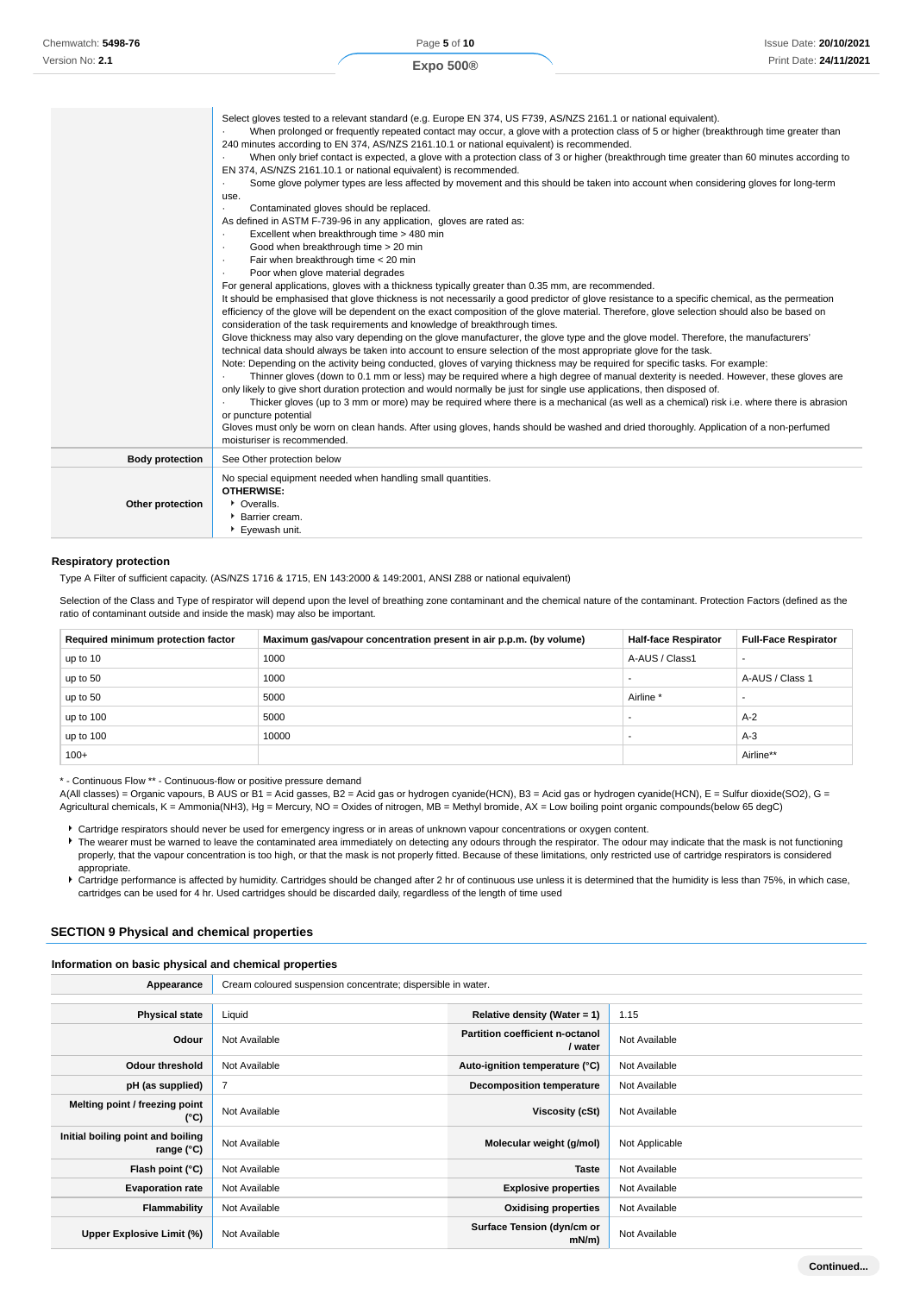| Chemwatch: 5498-76 |
|--------------------|
| Version No: 2.1    |

|                        | Select gloves tested to a relevant standard (e.g. Europe EN 374, US F739, AS/NZS 2161.1 or national equivalent).<br>When prolonged or frequently repeated contact may occur, a glove with a protection class of 5 or higher (breakthrough time greater than |
|------------------------|-------------------------------------------------------------------------------------------------------------------------------------------------------------------------------------------------------------------------------------------------------------|
|                        | 240 minutes according to EN 374, AS/NZS 2161.10.1 or national equivalent) is recommended.                                                                                                                                                                   |
|                        | When only brief contact is expected, a glove with a protection class of 3 or higher (breakthrough time greater than 60 minutes according to                                                                                                                 |
|                        | EN 374, AS/NZS 2161.10.1 or national equivalent) is recommended.                                                                                                                                                                                            |
|                        | Some glove polymer types are less affected by movement and this should be taken into account when considering gloves for long-term<br>$\cdot$                                                                                                               |
|                        | use.                                                                                                                                                                                                                                                        |
|                        | Contaminated gloves should be replaced.                                                                                                                                                                                                                     |
|                        | As defined in ASTM F-739-96 in any application, gloves are rated as:                                                                                                                                                                                        |
|                        | Excellent when breakthrough time > 480 min                                                                                                                                                                                                                  |
|                        | Good when breakthrough time > 20 min<br>$\cdot$                                                                                                                                                                                                             |
|                        | Fair when breakthrough time < 20 min<br>$\cdot$                                                                                                                                                                                                             |
|                        | Poor when glove material degrades<br>$\cdot$                                                                                                                                                                                                                |
|                        | For general applications, gloves with a thickness typically greater than 0.35 mm, are recommended.                                                                                                                                                          |
|                        | It should be emphasised that glove thickness is not necessarily a good predictor of glove resistance to a specific chemical, as the permeation                                                                                                              |
|                        | efficiency of the glove will be dependent on the exact composition of the glove material. Therefore, glove selection should also be based on                                                                                                                |
|                        | consideration of the task requirements and knowledge of breakthrough times.                                                                                                                                                                                 |
|                        | Glove thickness may also vary depending on the glove manufacturer, the glove type and the glove model. Therefore, the manufacturers'                                                                                                                        |
|                        | technical data should always be taken into account to ensure selection of the most appropriate glove for the task.                                                                                                                                          |
|                        | Note: Depending on the activity being conducted, gloves of varying thickness may be required for specific tasks. For example:                                                                                                                               |
|                        | Thinner gloves (down to 0.1 mm or less) may be required where a high degree of manual dexterity is needed. However, these gloves are                                                                                                                        |
|                        | only likely to give short duration protection and would normally be just for single use applications, then disposed of.                                                                                                                                     |
|                        | Thicker gloves (up to 3 mm or more) may be required where there is a mechanical (as well as a chemical) risk i.e. where there is abrasion                                                                                                                   |
|                        | or puncture potential                                                                                                                                                                                                                                       |
|                        | Gloves must only be worn on clean hands. After using gloves, hands should be washed and dried thoroughly. Application of a non-perfumed<br>moisturiser is recommended.                                                                                      |
|                        | See Other protection below                                                                                                                                                                                                                                  |
| <b>Body protection</b> |                                                                                                                                                                                                                                                             |
|                        | No special equipment needed when handling small quantities.                                                                                                                                                                                                 |
|                        | OTHERWISE:                                                                                                                                                                                                                                                  |
| Other protection       | • Overalls.                                                                                                                                                                                                                                                 |
|                        | Barrier cream.                                                                                                                                                                                                                                              |
|                        | Eyewash unit.                                                                                                                                                                                                                                               |

#### **Respiratory protection**

Type A Filter of sufficient capacity. (AS/NZS 1716 & 1715, EN 143:2000 & 149:2001, ANSI Z88 or national equivalent)

Selection of the Class and Type of respirator will depend upon the level of breathing zone contaminant and the chemical nature of the contaminant. Protection Factors (defined as the ratio of contaminant outside and inside the mask) may also be important.

| Required minimum protection factor | Maximum gas/vapour concentration present in air p.p.m. (by volume) | <b>Half-face Respirator</b> | <b>Full-Face Respirator</b> |
|------------------------------------|--------------------------------------------------------------------|-----------------------------|-----------------------------|
| up to 10                           | 1000                                                               | A-AUS / Class1              | -                           |
| up to 50                           | 1000                                                               |                             | A-AUS / Class 1             |
| up to 50                           | 5000                                                               | Airline *                   | -                           |
| up to 100                          | 5000                                                               |                             | $A-2$                       |
| up to $100$                        | 10000                                                              |                             | $A-3$                       |
| $100+$                             |                                                                    |                             | Airline**                   |

\* - Continuous Flow \*\* - Continuous-flow or positive pressure demand

A(All classes) = Organic vapours, B AUS or B1 = Acid gasses, B2 = Acid gas or hydrogen cyanide(HCN), B3 = Acid gas or hydrogen cyanide(HCN), E = Sulfur dioxide(SO2), G = Agricultural chemicals, K = Ammonia(NH3), Hg = Mercury, NO = Oxides of nitrogen, MB = Methyl bromide, AX = Low boiling point organic compounds(below 65 degC)

Cartridge respirators should never be used for emergency ingress or in areas of unknown vapour concentrations or oxygen content.

The wearer must be warned to leave the contaminated area immediately on detecting any odours through the respirator. The odour may indicate that the mask is not functioning properly, that the vapour concentration is too high, or that the mask is not properly fitted. Because of these limitations, only restricted use of cartridge respirators is considered appropriate.

Cartridge performance is affected by humidity. Cartridges should be changed after 2 hr of continuous use unless it is determined that the humidity is less than 75%, in which case, cartridges can be used for 4 hr. Used cartridges should be discarded daily, regardless of the length of time used

# **SECTION 9 Physical and chemical properties**

### **Information on basic physical and chemical properties**

Appearance **Cream coloured suspension concentrate**; dispersible in water.

| <b>Physical state</b>                                    | Liquid         | Relative density (Water = $1$ )                   | 1.15           |
|----------------------------------------------------------|----------------|---------------------------------------------------|----------------|
| Odour                                                    | Not Available  | <b>Partition coefficient n-octanol</b><br>/ water | Not Available  |
| <b>Odour threshold</b>                                   | Not Available  | Auto-ignition temperature (°C)                    | Not Available  |
| pH (as supplied)                                         | $\overline{7}$ | <b>Decomposition temperature</b>                  | Not Available  |
| Melting point / freezing point<br>(°C)                   | Not Available  | Viscosity (cSt)                                   | Not Available  |
| Initial boiling point and boiling<br>range $(^{\circ}C)$ | Not Available  | Molecular weight (g/mol)                          | Not Applicable |
| Flash point (°C)                                         | Not Available  | <b>Taste</b>                                      | Not Available  |
| <b>Evaporation rate</b>                                  | Not Available  | <b>Explosive properties</b>                       | Not Available  |
| Flammability                                             | Not Available  | <b>Oxidising properties</b>                       | Not Available  |
| Upper Explosive Limit (%)                                | Not Available  | Surface Tension (dyn/cm or<br>$mN/m$ )            | Not Available  |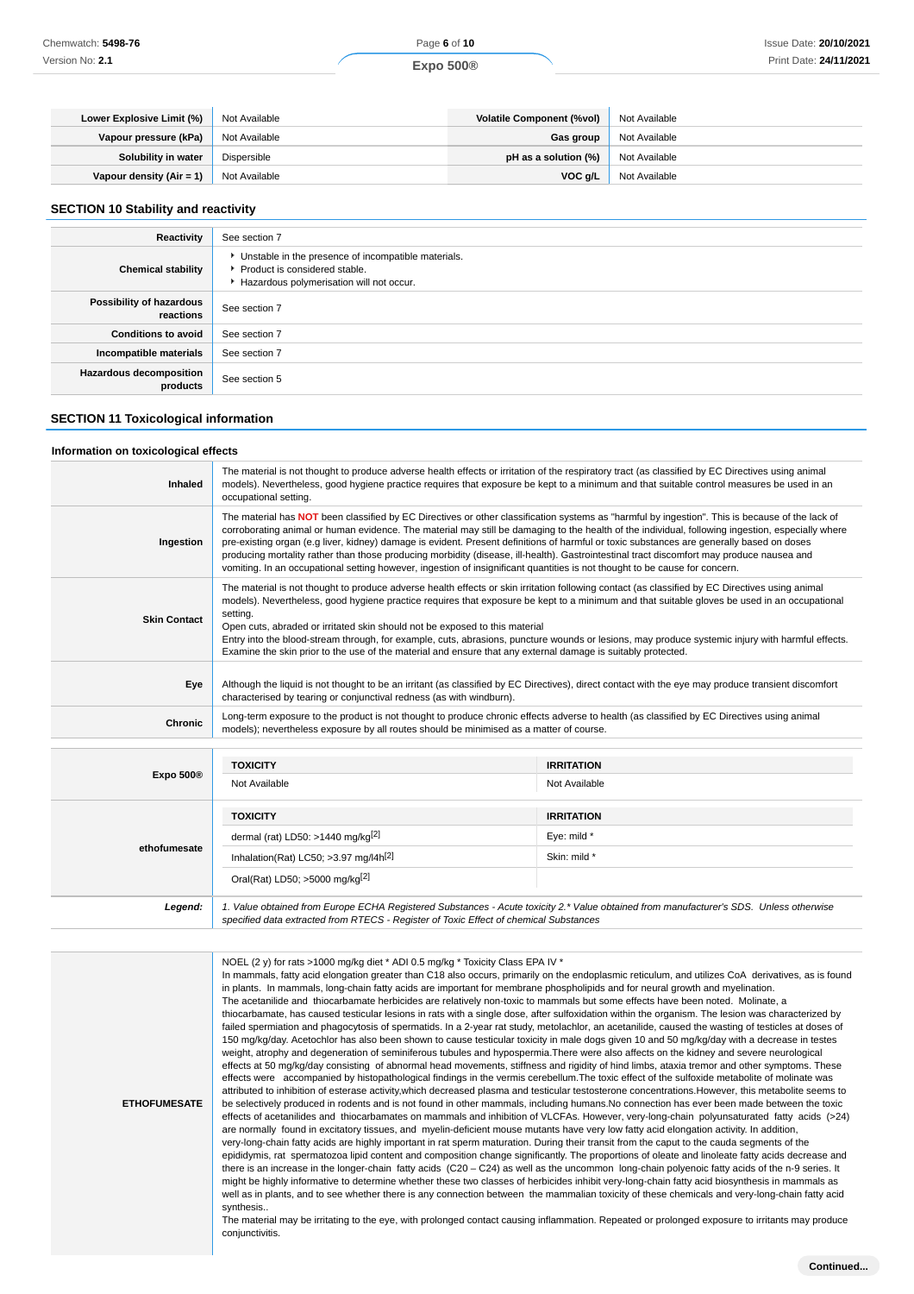|--|

| Lower Explosive Limit (%)  | Not Available | <b>Volatile Component (%vol)</b> | Not Available |
|----------------------------|---------------|----------------------------------|---------------|
| Vapour pressure (kPa)      | Not Available | Gas group                        | Not Available |
| Solubility in water        | Dispersible   | pH as a solution (%)             | Not Available |
| Vapour density $(Air = 1)$ | Not Available | VOC g/L                          | Not Available |

### **SECTION 10 Stability and reactivity**

| Reactivity                                 | See section 7                                                                                                                      |
|--------------------------------------------|------------------------------------------------------------------------------------------------------------------------------------|
| <b>Chemical stability</b>                  | Unstable in the presence of incompatible materials.<br>▶ Product is considered stable.<br>Hazardous polymerisation will not occur. |
| Possibility of hazardous<br>reactions      | See section 7                                                                                                                      |
| <b>Conditions to avoid</b>                 | See section 7                                                                                                                      |
| Incompatible materials                     | See section 7                                                                                                                      |
| <b>Hazardous decomposition</b><br>products | See section 5                                                                                                                      |

#### **SECTION 11 Toxicological information**

#### **Information on toxicological effects**

| Inhaled               | The material is not thought to produce adverse health effects or irritation of the respiratory tract (as classified by EC Directives using animal<br>models). Nevertheless, good hygiene practice requires that exposure be kept to a minimum and that suitable control measures be used in an<br>occupational setting.                                                                                                                                                                                                                                                                                                                                                                                                       |                   |  |
|-----------------------|-------------------------------------------------------------------------------------------------------------------------------------------------------------------------------------------------------------------------------------------------------------------------------------------------------------------------------------------------------------------------------------------------------------------------------------------------------------------------------------------------------------------------------------------------------------------------------------------------------------------------------------------------------------------------------------------------------------------------------|-------------------|--|
| Ingestion             | The material has NOT been classified by EC Directives or other classification systems as "harmful by ingestion". This is because of the lack of<br>corroborating animal or human evidence. The material may still be damaging to the health of the individual, following ingestion, especially where<br>pre-existing organ (e.g liver, kidney) damage is evident. Present definitions of harmful or toxic substances are generally based on doses<br>producing mortality rather than those producing morbidity (disease, ill-health). Gastrointestinal tract discomfort may produce nausea and<br>vomiting. In an occupational setting however, ingestion of insignificant quantities is not thought to be cause for concern. |                   |  |
| <b>Skin Contact</b>   | The material is not thought to produce adverse health effects or skin irritation following contact (as classified by EC Directives using animal<br>models). Nevertheless, good hygiene practice requires that exposure be kept to a minimum and that suitable gloves be used in an occupational<br>setting.<br>Open cuts, abraded or irritated skin should not be exposed to this material<br>Entry into the blood-stream through, for example, cuts, abrasions, puncture wounds or lesions, may produce systemic injury with harmful effects.<br>Examine the skin prior to the use of the material and ensure that any external damage is suitably protected.                                                                |                   |  |
| Eye                   | Although the liquid is not thought to be an irritant (as classified by EC Directives), direct contact with the eye may produce transient discomfort<br>characterised by tearing or conjunctival redness (as with windburn).                                                                                                                                                                                                                                                                                                                                                                                                                                                                                                   |                   |  |
| Chronic               | Long-term exposure to the product is not thought to produce chronic effects adverse to health (as classified by EC Directives using animal<br>models); nevertheless exposure by all routes should be minimised as a matter of course.                                                                                                                                                                                                                                                                                                                                                                                                                                                                                         |                   |  |
|                       | <b>TOXICITY</b>                                                                                                                                                                                                                                                                                                                                                                                                                                                                                                                                                                                                                                                                                                               | <b>IRRITATION</b> |  |
| Expo 500 <sup>®</sup> | Not Available                                                                                                                                                                                                                                                                                                                                                                                                                                                                                                                                                                                                                                                                                                                 | Not Available     |  |
|                       |                                                                                                                                                                                                                                                                                                                                                                                                                                                                                                                                                                                                                                                                                                                               |                   |  |

|              | NOT AVAIIADIE                                     | NOT AVAIIADIE     |
|--------------|---------------------------------------------------|-------------------|
|              | <b>TOXICITY</b>                                   | <b>IRRITATION</b> |
| ethofumesate | dermal (rat) LD50: >1440 mg/kg $[2]$              | Eye: mild *       |
|              | Inhalation(Rat) LC50; >3.97 mg/l4h <sup>[2]</sup> | Skin: mild *      |
|              | Oral(Rat) LD50; >5000 mg/kg[2]                    |                   |
|              | _______                                           |                   |

**Legend:** 1. Value obtained from Europe ECHA Registered Substances - Acute toxicity 2.\* Value obtained from manufacturer's SDS. Unless otherwise specified data extracted from RTECS - Register of Toxic Effect of chemical Substances

**ETHOFUMESATE** NOEL (2 y) for rats >1000 mg/kg diet \* ADI 0.5 mg/kg \* Toxicity Class EPA IV \* In mammals, fatty acid elongation greater than C18 also occurs, primarily on the endoplasmic reticulum, and utilizes CoA derivatives, as is found in plants. In mammals, long-chain fatty acids are important for membrane phospholipids and for neural growth and myelination. The acetanilide and thiocarbamate herbicides are relatively non-toxic to mammals but some effects have been noted. Molinate, a thiocarbamate, has caused testicular lesions in rats with a single dose, after sulfoxidation within the organism. The lesion was characterized by failed spermiation and phagocytosis of spermatids. In a 2-year rat study, metolachlor, an acetanilide, caused the wasting of testicles at doses of 150 mg/kg/day. Acetochlor has also been shown to cause testicular toxicity in male dogs given 10 and 50 mg/kg/day with a decrease in testes weight, atrophy and degeneration of seminiferous tubules and hypospermia.There were also affects on the kidney and severe neurological effects at 50 mg/kg/day consisting of abnormal head movements, stiffness and rigidity of hind limbs, ataxia tremor and other symptoms. These effects were accompanied by histopathological findings in the vermis cerebellum.The toxic effect of the sulfoxide metabolite of molinate was attributed to inhibition of esterase activity,which decreased plasma and testicular testosterone concentrations.However, this metabolite seems to be selectively produced in rodents and is not found in other mammals, including humans.No connection has ever been made between the toxic effects of acetanilides and thiocarbamates on mammals and inhibition of VLCFAs. However, very-long-chain polyunsaturated fatty acids (>24) are normally found in excitatory tissues, and myelin-deficient mouse mutants have very low fatty acid elongation activity. In addition, very-long-chain fatty acids are highly important in rat sperm maturation. During their transit from the caput to the cauda segments of the epididymis, rat spermatozoa lipid content and composition change significantly. The proportions of oleate and linoleate fatty acids decrease and there is an increase in the longer-chain fatty acids (C20 – C24) as well as the uncommon long-chain polyenoic fatty acids of the n-9 series. It might be highly informative to determine whether these two classes of herbicides inhibit very-long-chain fatty acid biosynthesis in mammals as well as in plants, and to see whether there is any connection between the mammalian toxicity of these chemicals and very-long-chain fatty acid synthesis The material may be irritating to the eye, with prolonged contact causing inflammation. Repeated or prolonged exposure to irritants may produce conjunctivitis.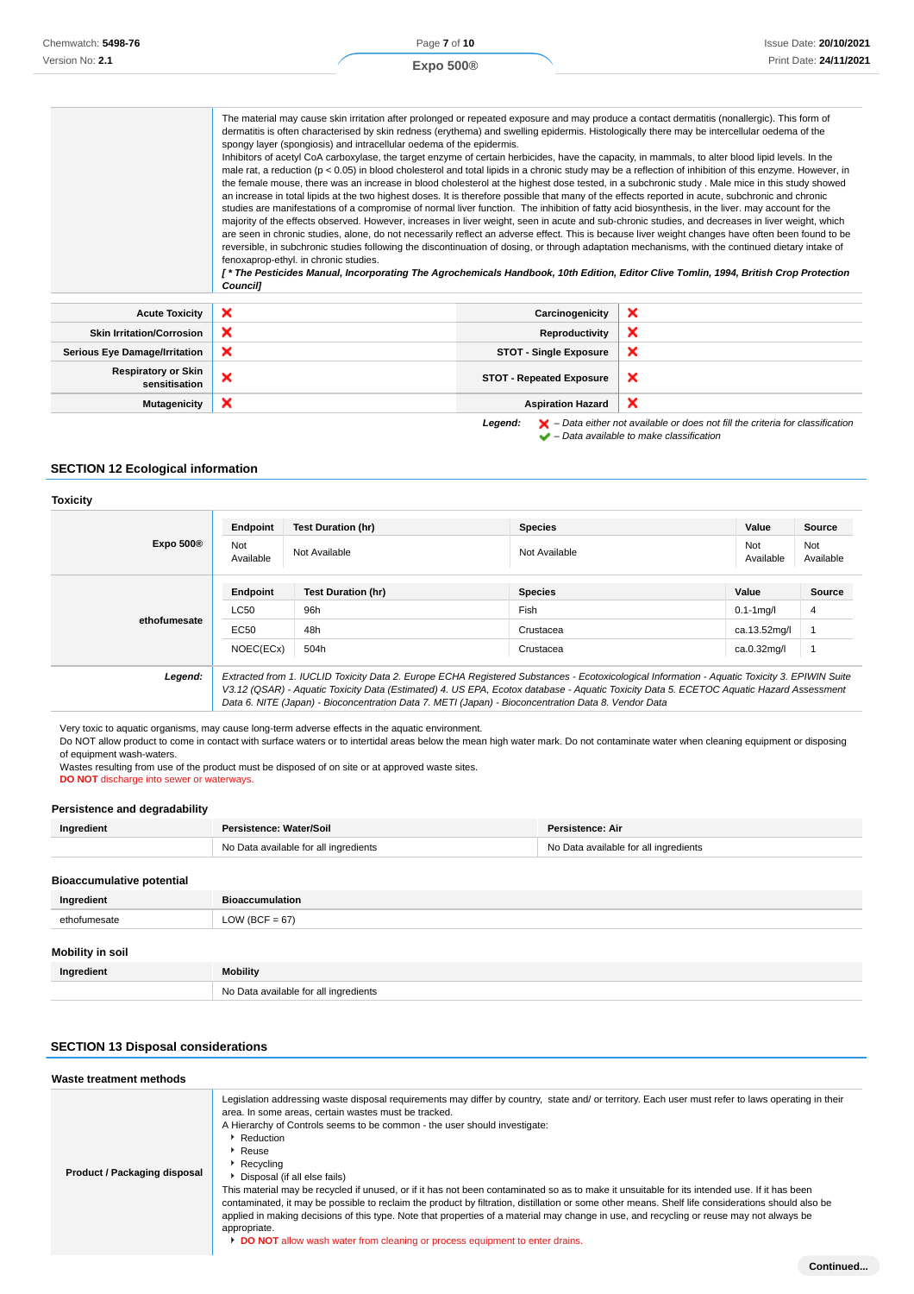| Chemwatch: 5498-76 | Page 7 of 10     | Issue Date: 20/10/2021 |
|--------------------|------------------|------------------------|
| Version No: 2.1    | Expo 500 $\circ$ | Print Date: 24/11/2021 |
|                    |                  |                        |

|                                             | The material may cause skin irritation after prolonged or repeated exposure and may produce a contact dermatitis (nonallergic). This form of<br>dermatitis is often characterised by skin redness (erythema) and swelling epidermis. Histologically there may be intercellular oedema of the<br>spongy layer (spongiosis) and intracellular oedema of the epidermis.<br>Inhibitors of acetyl CoA carboxylase, the target enzyme of certain herbicides, have the capacity, in mammals, to alter blood lipid levels. In the<br>male rat, a reduction (p < 0.05) in blood cholesterol and total lipids in a chronic study may be a reflection of inhibition of this enzyme. However, in<br>the female mouse, there was an increase in blood cholesterol at the highest dose tested, in a subchronic study. Male mice in this study showed<br>an increase in total lipids at the two highest doses. It is therefore possible that many of the effects reported in acute, subchronic and chronic<br>studies are manifestations of a compromise of normal liver function. The inhibition of fatty acid biosynthesis, in the liver. may account for the<br>majority of the effects observed. However, increases in liver weight, seen in acute and sub-chronic studies, and decreases in liver weight, which<br>are seen in chronic studies, alone, do not necessarily reflect an adverse effect. This is because liver weight changes have often been found to be<br>reversible, in subchronic studies following the discontinuation of dosing, or through adaptation mechanisms, with the continued dietary intake of<br>fenoxaprop-ethyl. in chronic studies.<br>[*The Pesticides Manual, Incorporating The Agrochemicals Handbook, 10th Edition, Editor Clive Tomlin, 1994, British Crop Protection<br><b>Councill</b> |                                 |                           |
|---------------------------------------------|---------------------------------------------------------------------------------------------------------------------------------------------------------------------------------------------------------------------------------------------------------------------------------------------------------------------------------------------------------------------------------------------------------------------------------------------------------------------------------------------------------------------------------------------------------------------------------------------------------------------------------------------------------------------------------------------------------------------------------------------------------------------------------------------------------------------------------------------------------------------------------------------------------------------------------------------------------------------------------------------------------------------------------------------------------------------------------------------------------------------------------------------------------------------------------------------------------------------------------------------------------------------------------------------------------------------------------------------------------------------------------------------------------------------------------------------------------------------------------------------------------------------------------------------------------------------------------------------------------------------------------------------------------------------------------------------------------------------------------------------------------------------------------------------------------------------|---------------------------------|---------------------------|
| <b>Acute Toxicity</b>                       | ×                                                                                                                                                                                                                                                                                                                                                                                                                                                                                                                                                                                                                                                                                                                                                                                                                                                                                                                                                                                                                                                                                                                                                                                                                                                                                                                                                                                                                                                                                                                                                                                                                                                                                                                                                                                                                   | Carcinogenicity                 | $\boldsymbol{\mathsf{x}}$ |
| <b>Skin Irritation/Corrosion</b>            | $\boldsymbol{\mathsf{x}}$                                                                                                                                                                                                                                                                                                                                                                                                                                                                                                                                                                                                                                                                                                                                                                                                                                                                                                                                                                                                                                                                                                                                                                                                                                                                                                                                                                                                                                                                                                                                                                                                                                                                                                                                                                                           | <b>Reproductivity</b>           | ×                         |
| <b>Serious Eye Damage/Irritation</b>        | ×                                                                                                                                                                                                                                                                                                                                                                                                                                                                                                                                                                                                                                                                                                                                                                                                                                                                                                                                                                                                                                                                                                                                                                                                                                                                                                                                                                                                                                                                                                                                                                                                                                                                                                                                                                                                                   | <b>STOT - Single Exposure</b>   | ×                         |
| <b>Respiratory or Skin</b><br>sensitisation | ×                                                                                                                                                                                                                                                                                                                                                                                                                                                                                                                                                                                                                                                                                                                                                                                                                                                                                                                                                                                                                                                                                                                                                                                                                                                                                                                                                                                                                                                                                                                                                                                                                                                                                                                                                                                                                   | <b>STOT - Repeated Exposure</b> | ×                         |
| <b>Mutagenicity</b>                         | ×                                                                                                                                                                                                                                                                                                                                                                                                                                                                                                                                                                                                                                                                                                                                                                                                                                                                                                                                                                                                                                                                                                                                                                                                                                                                                                                                                                                                                                                                                                                                                                                                                                                                                                                                                                                                                   | <b>Aspiration Hazard</b>        | ×                         |

**Legend:** – Data either not available or does not fill the criteria for classification

# **SECTION 12 Ecological information**

### **Toxicity**

|              | Endpoint                                                                                                                                                                                                                                                                                                                                                                                        | <b>Test Duration (hr)</b> | <b>Species</b> | Value            | Source           |
|--------------|-------------------------------------------------------------------------------------------------------------------------------------------------------------------------------------------------------------------------------------------------------------------------------------------------------------------------------------------------------------------------------------------------|---------------------------|----------------|------------------|------------------|
| Expo 500 $@$ | Not<br>Available                                                                                                                                                                                                                                                                                                                                                                                | Not Available             | Not Available  | Not<br>Available | Not<br>Available |
|              | <b>Endpoint</b>                                                                                                                                                                                                                                                                                                                                                                                 | <b>Test Duration (hr)</b> | <b>Species</b> | Value            | <b>Source</b>    |
| ethofumesate | <b>LC50</b>                                                                                                                                                                                                                                                                                                                                                                                     | 96h                       | Fish           | $0.1 - 1$ mg/l   | 4                |
|              | EC50                                                                                                                                                                                                                                                                                                                                                                                            | 48h                       | Crustacea      | ca.13.52mg/l     |                  |
|              | NOEC(ECx)                                                                                                                                                                                                                                                                                                                                                                                       | 504h                      | Crustacea      | ca.0.32mg/l      |                  |
| Legend:      | Extracted from 1. IUCLID Toxicity Data 2. Europe ECHA Registered Substances - Ecotoxicological Information - Aquatic Toxicity 3. EPIWIN Suite<br>V3.12 (QSAR) - Aquatic Toxicity Data (Estimated) 4. US EPA, Ecotox database - Aquatic Toxicity Data 5. ECETOC Aquatic Hazard Assessment<br>Data 6. NITE (Japan) - Bioconcentration Data 7. METI (Japan) - Bioconcentration Data 8. Vendor Data |                           |                |                  |                  |

Very toxic to aquatic organisms, may cause long-term adverse effects in the aquatic environment.

Do NOT allow product to come in contact with surface waters or to intertidal areas below the mean high water mark. Do not contaminate water when cleaning equipment or disposing of equipment wash-waters.

Wastes resulting from use of the product must be disposed of on site or at approved waste sites.

# **DO NOT** discharge into sewer or waterways.

## **Persistence and degradability**

| Ingredient | Persistence: Water/Soil               | Persistence: Air                      |
|------------|---------------------------------------|---------------------------------------|
|            | No Data available for all ingredients | No Data available for all ingredients |
|            |                                       |                                       |

# **Bioaccumulative potential Ingredient Bioaccumulation** ethofumesate LOW (BCF = 67) **Mobility in soil Ingredient Mobility** No Data available for all ingredients

# **SECTION 13 Disposal considerations**

| Waste treatment methods      |                                                                                                                                                                                                                                                                                                                                                                                                                                                                                                                                                                                                                                                                                                                                                                                                                                                                                                                                     |
|------------------------------|-------------------------------------------------------------------------------------------------------------------------------------------------------------------------------------------------------------------------------------------------------------------------------------------------------------------------------------------------------------------------------------------------------------------------------------------------------------------------------------------------------------------------------------------------------------------------------------------------------------------------------------------------------------------------------------------------------------------------------------------------------------------------------------------------------------------------------------------------------------------------------------------------------------------------------------|
| Product / Packaging disposal | Legislation addressing waste disposal requirements may differ by country, state and/ or territory. Each user must refer to laws operating in their<br>area. In some areas, certain wastes must be tracked.<br>A Hierarchy of Controls seems to be common - the user should investigate:<br>Reduction<br>$\cdot$ Reuse<br>$\triangleright$ Recycling<br>Disposal (if all else fails)<br>This material may be recycled if unused, or if it has not been contaminated so as to make it unsuitable for its intended use. If it has been<br>contaminated, it may be possible to reclaim the product by filtration, distillation or some other means. Shelf life considerations should also be<br>applied in making decisions of this type. Note that properties of a material may change in use, and recycling or reuse may not always be<br>appropriate.<br>DO NOT allow wash water from cleaning or process equipment to enter drains. |

 <sup>–</sup> Data available to make classification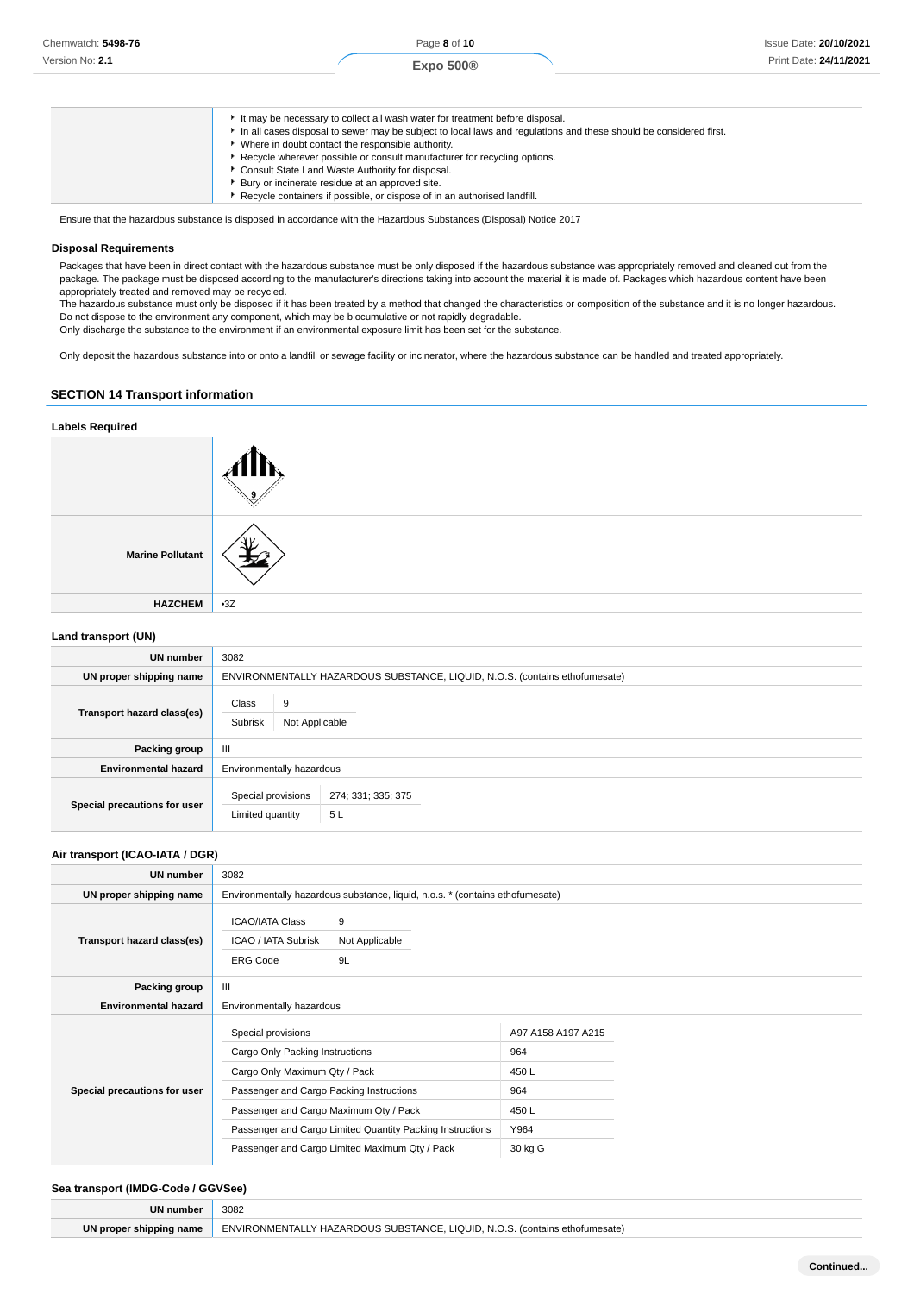| It may be necessary to collect all wash water for treatment before disposal.<br>In all cases disposal to sewer may be subject to local laws and regulations and these should be considered first.<br>Where in doubt contact the responsible authority.<br>Recycle wherever possible or consult manufacturer for recycling options.<br>Consult State Land Waste Authority for disposal. |
|----------------------------------------------------------------------------------------------------------------------------------------------------------------------------------------------------------------------------------------------------------------------------------------------------------------------------------------------------------------------------------------|
| Bury or incinerate residue at an approved site.<br>Recycle containers if possible, or dispose of in an authorised landfill.                                                                                                                                                                                                                                                            |

Ensure that the hazardous substance is disposed in accordance with the Hazardous Substances (Disposal) Notice 2017

#### **Disposal Requirements**

Packages that have been in direct contact with the hazardous substance must be only disposed if the hazardous substance was appropriately removed and cleaned out from the package. The package must be disposed according to the manufacturer's directions taking into account the material it is made of. Packages which hazardous content have been appropriately treated and removed may be recycled.

The hazardous substance must only be disposed if it has been treated by a method that changed the characteristics or composition of the substance and it is no longer hazardous. Do not dispose to the environment any component, which may be biocumulative or not rapidly degradable.

Only discharge the substance to the environment if an environmental exposure limit has been set for the substance.

Only deposit the hazardous substance into or onto a landfill or sewage facility or incinerator, where the hazardous substance can be handled and treated appropriately.

# **SECTION 14 Transport information**

| <b>Labels Required</b>                                           |       |
|------------------------------------------------------------------|-------|
|                                                                  |       |
| <b>Marine Pollutant</b>                                          |       |
| <b>HAZCHEM</b>                                                   | $-3Z$ |
| $\mathbf{I}$ and $\mathbf{I}$ denotes a set of $\mathbf{I}$ HKB. |       |

| UN number                    | 3082                                                                        |  |  |
|------------------------------|-----------------------------------------------------------------------------|--|--|
| UN proper shipping name      | ENVIRONMENTALLY HAZARDOUS SUBSTANCE, LIQUID, N.O.S. (contains ethofumesate) |  |  |
| Transport hazard class(es)   | Class<br>9<br>Subrisk<br>Not Applicable                                     |  |  |
| <b>Packing group</b>         | Ш                                                                           |  |  |
| <b>Environmental hazard</b>  | Environmentally hazardous                                                   |  |  |
| Special precautions for user | Special provisions<br>274; 331; 335; 375<br>5L<br>Limited quantity          |  |  |

#### **Air transport (ICAO-IATA / DGR)**

| UN number                    | 3082                                                                                                                                                                                                                                                                                        |                                                                               |                                                                      |  |
|------------------------------|---------------------------------------------------------------------------------------------------------------------------------------------------------------------------------------------------------------------------------------------------------------------------------------------|-------------------------------------------------------------------------------|----------------------------------------------------------------------|--|
| UN proper shipping name      |                                                                                                                                                                                                                                                                                             | Environmentally hazardous substance, liquid, n.o.s. * (contains ethofumesate) |                                                                      |  |
| Transport hazard class(es)   | <b>ICAO/IATA Class</b><br>9<br>Not Applicable<br>ICAO / IATA Subrisk<br><b>ERG Code</b><br>9L                                                                                                                                                                                               |                                                                               |                                                                      |  |
| Packing group                | Ш                                                                                                                                                                                                                                                                                           |                                                                               |                                                                      |  |
| <b>Environmental hazard</b>  | Environmentally hazardous                                                                                                                                                                                                                                                                   |                                                                               |                                                                      |  |
| Special precautions for user | Special provisions<br>Cargo Only Packing Instructions<br>Cargo Only Maximum Qty / Pack<br>Passenger and Cargo Packing Instructions<br>Passenger and Cargo Maximum Qty / Pack<br>Passenger and Cargo Limited Quantity Packing Instructions<br>Passenger and Cargo Limited Maximum Qty / Pack |                                                                               | A97 A158 A197 A215<br>964<br>450 L<br>964<br>450L<br>Y964<br>30 kg G |  |

#### **Sea transport (IMDG-Code / GGVSee)**

| UN numbe            | 3082<br>.                                                                                             |
|---------------------|-------------------------------------------------------------------------------------------------------|
| ۱N<br>shipping name | LIQUID. N.O.<br>ENVIRONMENTALLY HAZARDO<br>YOUS SUBSTANCE. L.<br>) s <i>Icontaine</i><br>ethotumesate |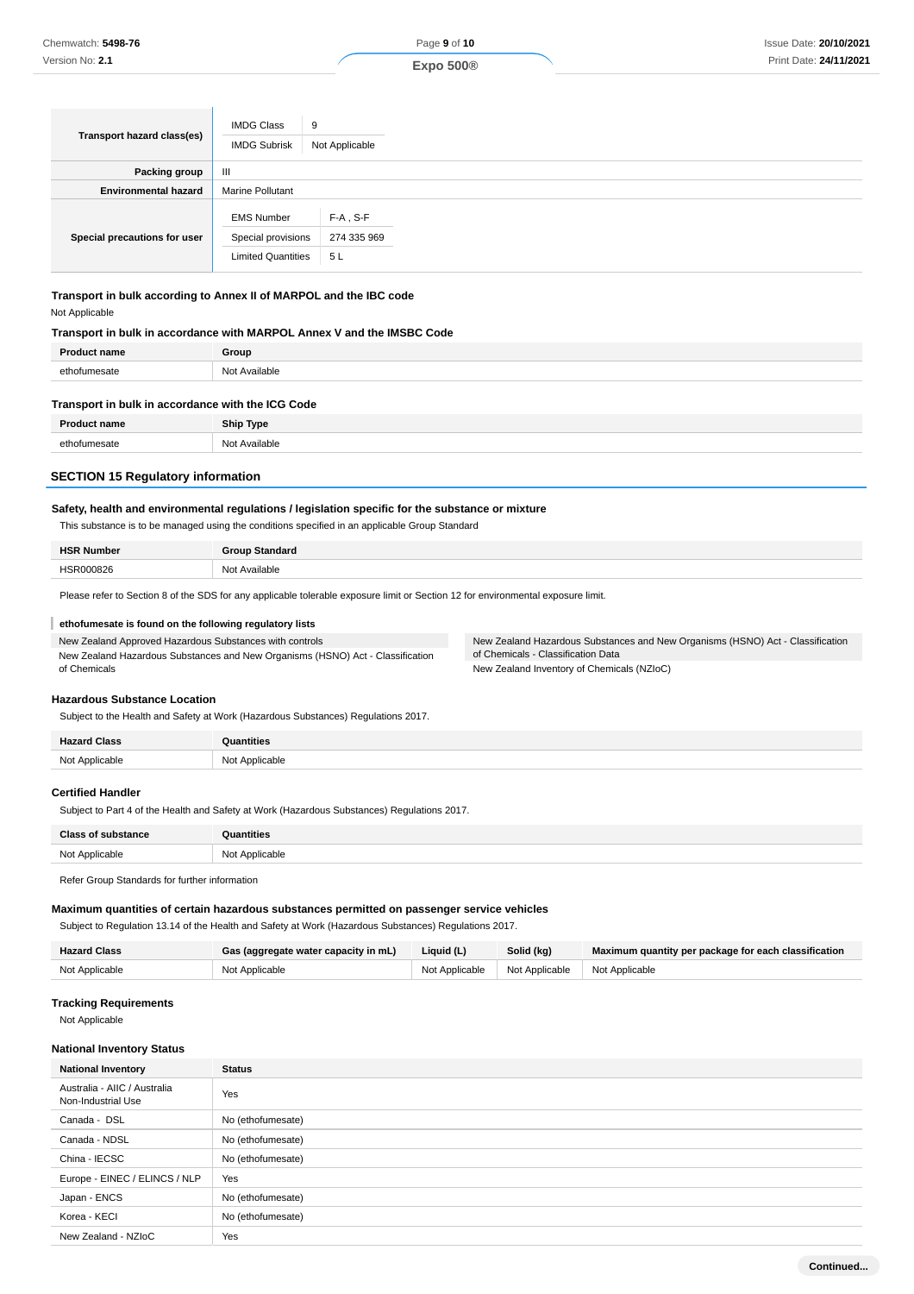| Transport hazard class(es)   | <b>IMDG Class</b><br><b>IMDG Subrisk</b>                             | 9<br>Not Applicable              |  |  |
|------------------------------|----------------------------------------------------------------------|----------------------------------|--|--|
| <b>Packing group</b>         | $\mathbf{m}$                                                         |                                  |  |  |
| <b>Environmental hazard</b>  | <b>Marine Pollutant</b>                                              |                                  |  |  |
| Special precautions for user | <b>EMS Number</b><br>Special provisions<br><b>Limited Quantities</b> | $F-A$ , S-F<br>274 335 969<br>5L |  |  |

**Transport in bulk according to Annex II of MARPOL and the IBC code** Not Applicable

#### **Transport in bulk in accordance with MARPOL Annex V and the IMSBC Code**

| ------ |
|--------|
| กคเ    |
|        |

| Transport in bulk in accordance with the ICG Code |               |  |
|---------------------------------------------------|---------------|--|
| <b>Product name</b>                               | Ship Type     |  |
| ethofumesate                                      | Not Available |  |

## **SECTION 15 Regulatory information**

### **Safety, health and environmental regulations / legislation specific for the substance or mixture**

This substance is to be managed using the conditions specified in an applicable Group Standard

| <b>HSR Number</b> | <b>Group Standard</b> |
|-------------------|-----------------------|
| HSR000826         | Not Available         |

Please refer to Section 8 of the SDS for any applicable tolerable exposure limit or Section 12 for environmental exposure limit.

#### **ethofumesate is found on the following regulatory lists**

| New Zealand Approved Hazardous Substances with controls                        |
|--------------------------------------------------------------------------------|
| New Zealand Hazardous Substances and New Organisms (HSNO) Act - Classification |
| of Chemicals                                                                   |

New Zealand Hazardous Substances and New Organisms (HSNO) Act - Classification of Chemicals - Classification Data New Zealand Inventory of Chemicals (NZIoC)

## **Hazardous Substance Location**

Subject to the Health and Safety at Work (Hazardous Substances) Regulations 2017.

| $\cdots$ |  |
|----------|--|

#### **Certified Handler**

Subject to Part 4 of the Health and Safety at Work (Hazardous Substances) Regulations 2017.

| $R_{\rm max}$ | <b>THL01</b> |
|---------------|--------------|
| ΝΙω           | ```<br>.     |

Refer Group Standards for further information

# **Maximum quantities of certain hazardous substances permitted on passenger service vehicles**

Subject to Regulation 13.14 of the Health and Safety at Work (Hazardous Substances) Regulations 2017.

| <b>Hazard Class</b> | Gas (aggregate water capacity in mL) | Liquid (L) | Solid (kg)                                       | Maximum quantity per package for each classification |
|---------------------|--------------------------------------|------------|--------------------------------------------------|------------------------------------------------------|
| Not Applicable      | Not Applicable                       |            | Not Applicable   Not Applicable   Not Applicable |                                                      |

#### **Tracking Requirements**

Not Applicable

### **National Inventory Status**

| <b>National Inventory</b>                          | <b>Status</b>     |
|----------------------------------------------------|-------------------|
| Australia - AIIC / Australia<br>Non-Industrial Use | Yes               |
| Canada - DSL                                       | No (ethofumesate) |
| Canada - NDSL                                      | No (ethofumesate) |
| China - IECSC                                      | No (ethofumesate) |
| Europe - EINEC / ELINCS / NLP                      | Yes               |
| Japan - ENCS                                       | No (ethofumesate) |
| Korea - KECI                                       | No (ethofumesate) |
| New Zealand - NZIoC                                | Yes               |